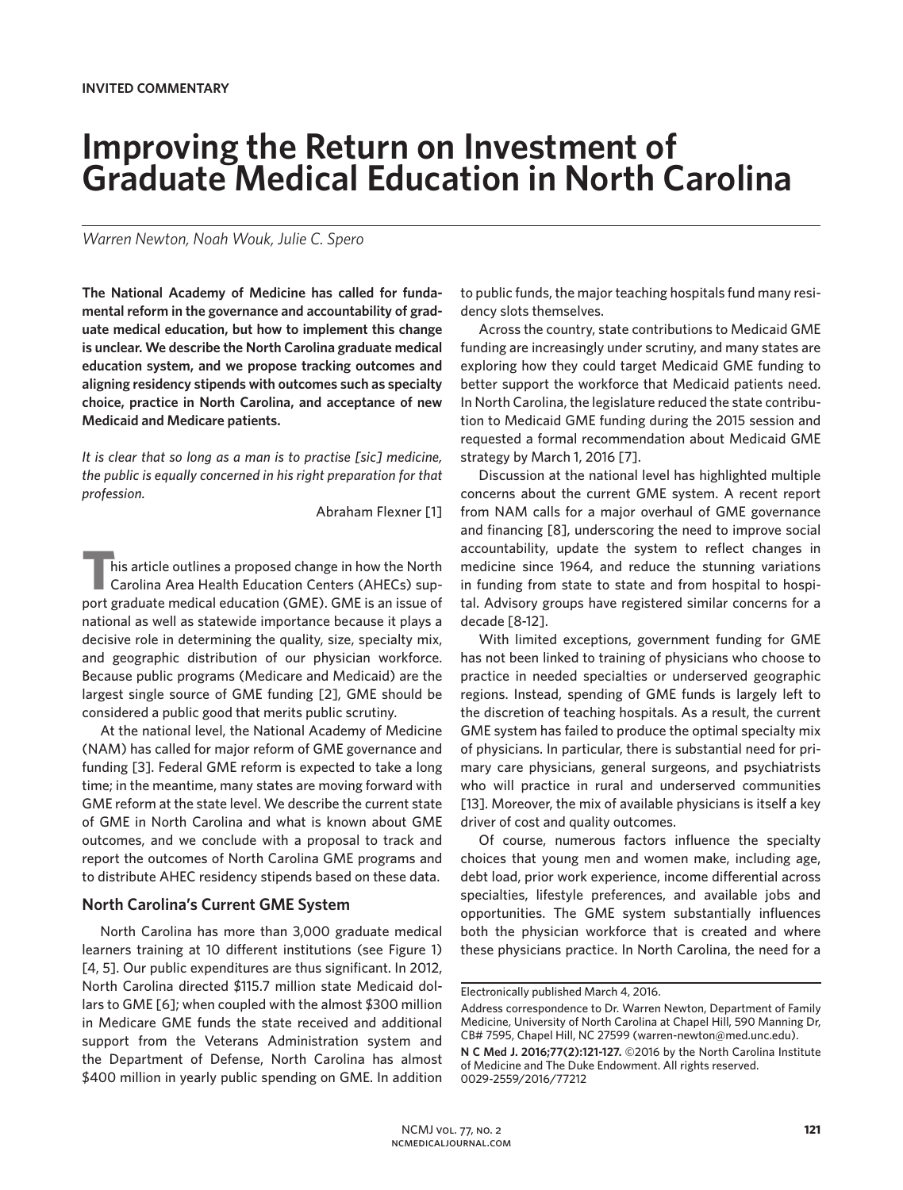# **Improving the Return on Investment of Graduate Medical Education in North Carolina**

*Warren Newton, Noah Wouk, Julie C. Spero*

**The National Academy of Medicine has called for fundamental reform in the governance and accountability of graduate medical education, but how to implement this change is unclear. We describe the North Carolina graduate medical education system, and we propose tracking outcomes and aligning residency stipends with outcomes such as specialty choice, practice in North Carolina, and acceptance of new Medicaid and Medicare patients.** 

*It is clear that so long as a man is to practise [sic] medicine, the public is equally concerned in his right preparation for that profession.*

Abraham Flexner [1]

**T**his article outlines a proposed change in how the North Carolina Area Health Education Centers (AHECs) support graduate medical education (GME). GME is an issue of national as well as statewide importance because it plays a decisive role in determining the quality, size, specialty mix, and geographic distribution of our physician workforce. Because public programs (Medicare and Medicaid) are the largest single source of GME funding [2], GME should be considered a public good that merits public scrutiny.

At the national level, the National Academy of Medicine (NAM) has called for major reform of GME governance and funding [3]. Federal GME reform is expected to take a long time; in the meantime, many states are moving forward with GME reform at the state level. We describe the current state of GME in North Carolina and what is known about GME outcomes, and we conclude with a proposal to track and report the outcomes of North Carolina GME programs and to distribute AHEC residency stipends based on these data.

#### **North Carolina's Current GME System**

North Carolina has more than 3,000 graduate medical learners training at 10 different institutions (see Figure 1) [4, 5]. Our public expenditures are thus significant. In 2012, North Carolina directed \$115.7 million state Medicaid dollars to GME [6]; when coupled with the almost \$300 million in Medicare GME funds the state received and additional support from the Veterans Administration system and the Department of Defense, North Carolina has almost \$400 million in yearly public spending on GME. In addition

to public funds, the major teaching hospitals fund many residency slots themselves.

Across the country, state contributions to Medicaid GME funding are increasingly under scrutiny, and many states are exploring how they could target Medicaid GME funding to better support the workforce that Medicaid patients need. In North Carolina, the legislature reduced the state contribution to Medicaid GME funding during the 2015 session and requested a formal recommendation about Medicaid GME strategy by March 1, 2016 [7].

Discussion at the national level has highlighted multiple concerns about the current GME system. A recent report from NAM calls for a major overhaul of GME governance and financing [8], underscoring the need to improve social accountability, update the system to reflect changes in medicine since 1964, and reduce the stunning variations in funding from state to state and from hospital to hospital. Advisory groups have registered similar concerns for a decade [8-12].

With limited exceptions, government funding for GME has not been linked to training of physicians who choose to practice in needed specialties or underserved geographic regions. Instead, spending of GME funds is largely left to the discretion of teaching hospitals. As a result, the current GME system has failed to produce the optimal specialty mix of physicians. In particular, there is substantial need for primary care physicians, general surgeons, and psychiatrists who will practice in rural and underserved communities [13]. Moreover, the mix of available physicians is itself a key driver of cost and quality outcomes.

Of course, numerous factors influence the specialty choices that young men and women make, including age, debt load, prior work experience, income differential across specialties, lifestyle preferences, and available jobs and opportunities. The GME system substantially influences both the physician workforce that is created and where these physicians practice. In North Carolina, the need for a

Electronically published March 4, 2016.

Address correspondence to Dr. Warren Newton, Department of Family Medicine, University of North Carolina at Chapel Hill, 590 Manning Dr, CB# 7595, Chapel Hill, NC 27599 (warren-newton@med.unc.edu).

**N C Med J. 2016;77(2):121-127.** ©2016 by the North Carolina Institute of Medicine and The Duke Endowment. All rights reserved. 0029-2559/2016/77212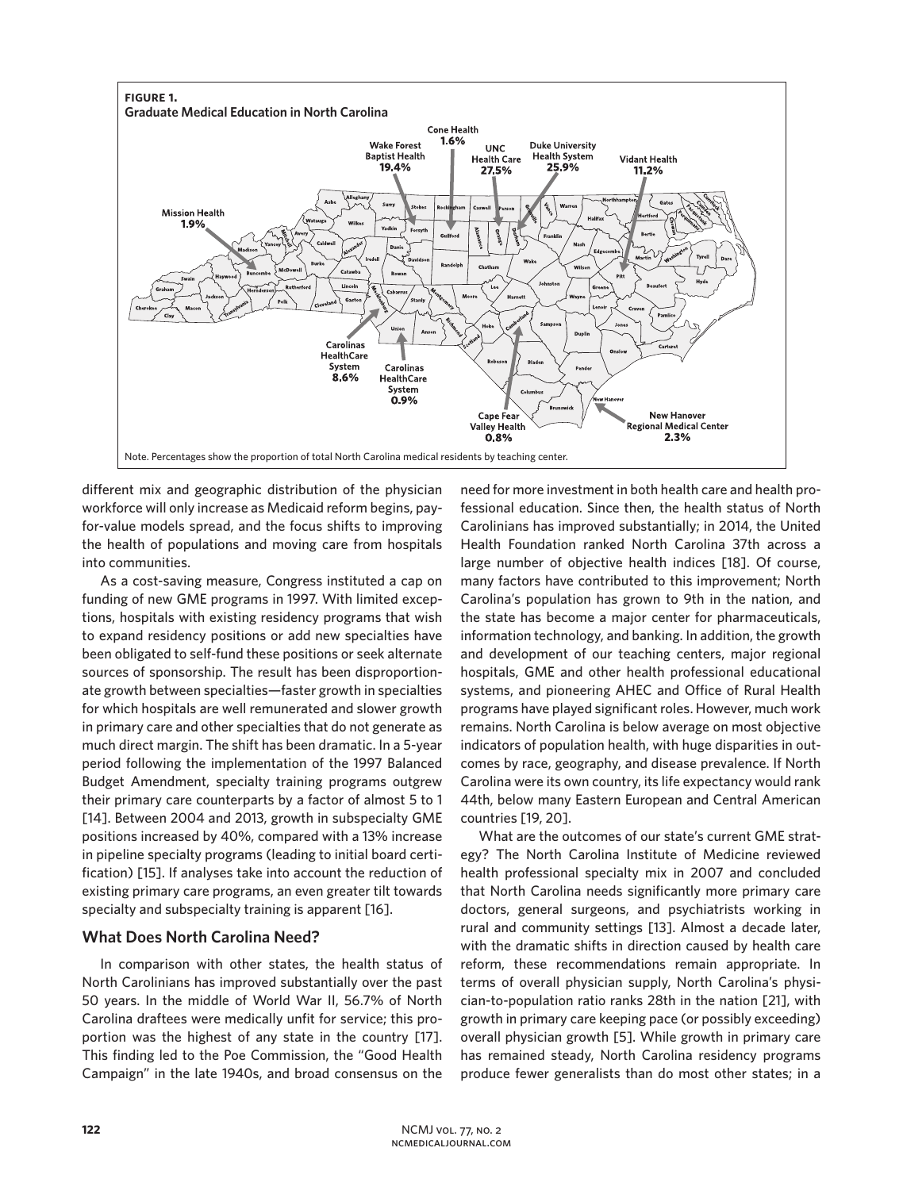

different mix and geographic distribution of the physician workforce will only increase as Medicaid reform begins, payfor-value models spread, and the focus shifts to improving the health of populations and moving care from hospitals into communities.

As a cost-saving measure, Congress instituted a cap on funding of new GME programs in 1997. With limited exceptions, hospitals with existing residency programs that wish to expand residency positions or add new specialties have been obligated to self-fund these positions or seek alternate sources of sponsorship. The result has been disproportionate growth between specialties—faster growth in specialties for which hospitals are well remunerated and slower growth in primary care and other specialties that do not generate as much direct margin. The shift has been dramatic. In a 5-year period following the implementation of the 1997 Balanced Budget Amendment, specialty training programs outgrew their primary care counterparts by a factor of almost 5 to 1 [14]. Between 2004 and 2013, growth in subspecialty GME positions increased by 40%, compared with a 13% increase in pipeline specialty programs (leading to initial board certification) [15]. If analyses take into account the reduction of existing primary care programs, an even greater tilt towards specialty and subspecialty training is apparent [16].

## **What Does North Carolina Need?**

In comparison with other states, the health status of North Carolinians has improved substantially over the past 50 years. In the middle of World War II, 56.7% of North Carolina draftees were medically unfit for service; this proportion was the highest of any state in the country [17]. This finding led to the Poe Commission, the "Good Health Campaign" in the late 1940s, and broad consensus on the

need for more investment in both health care and health professional education. Since then, the health status of North Carolinians has improved substantially; in 2014, the United Health Foundation ranked North Carolina 37th across a large number of objective health indices [18]. Of course, many factors have contributed to this improvement; North Carolina's population has grown to 9th in the nation, and the state has become a major center for pharmaceuticals, information technology, and banking. In addition, the growth and development of our teaching centers, major regional hospitals, GME and other health professional educational systems, and pioneering AHEC and Office of Rural Health programs have played significant roles. However, much work remains. North Carolina is below average on most objective indicators of population health, with huge disparities in outcomes by race, geography, and disease prevalence. If North Carolina were its own country, its life expectancy would rank 44th, below many Eastern European and Central American countries [19, 20].

What are the outcomes of our state's current GME strategy? The North Carolina Institute of Medicine reviewed health professional specialty mix in 2007 and concluded that North Carolina needs significantly more primary care doctors, general surgeons, and psychiatrists working in rural and community settings [13]. Almost a decade later, with the dramatic shifts in direction caused by health care reform, these recommendations remain appropriate. In terms of overall physician supply, North Carolina's physician-to-population ratio ranks 28th in the nation [21], with growth in primary care keeping pace (or possibly exceeding) overall physician growth [5]. While growth in primary care has remained steady, North Carolina residency programs produce fewer generalists than do most other states; in a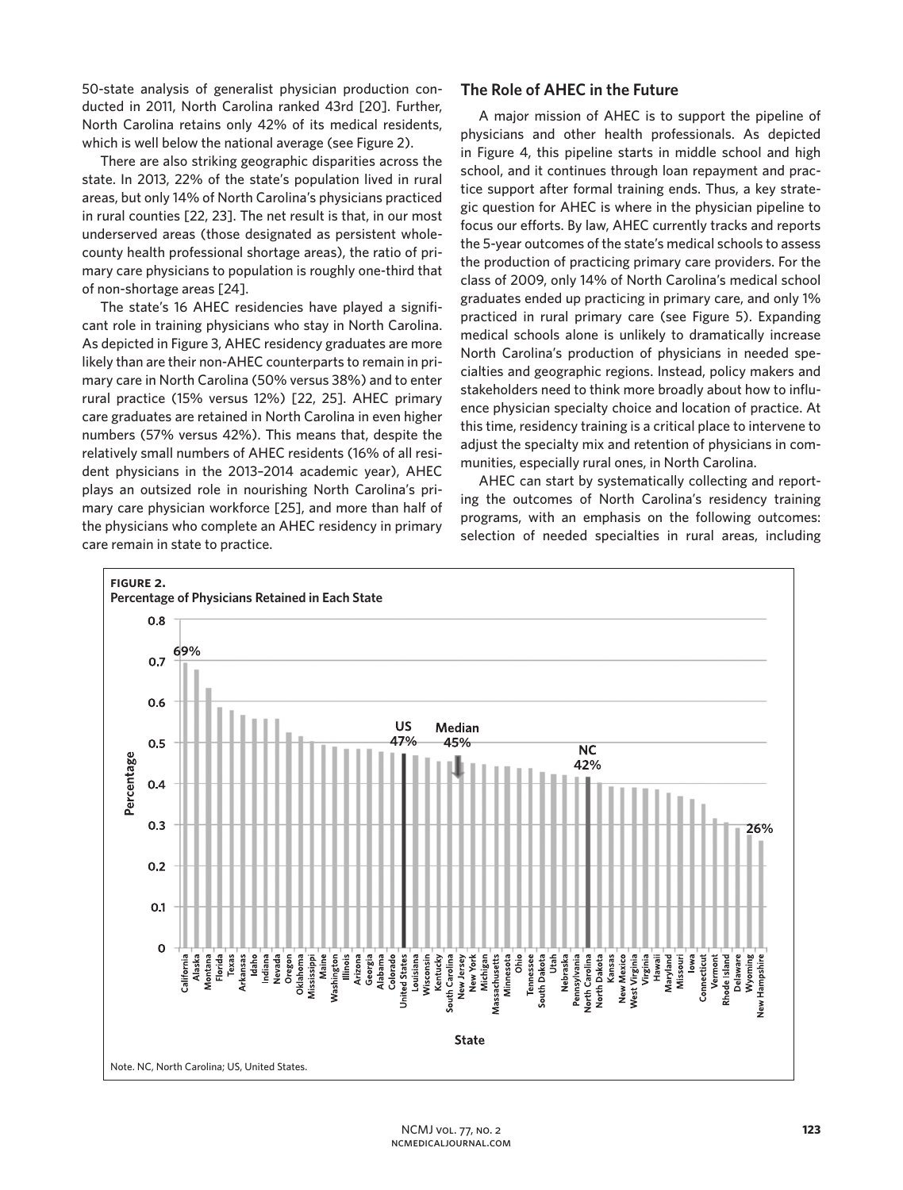50-state analysis of generalist physician production conducted in 2011, North Carolina ranked 43rd [20]. Further, North Carolina retains only 42% of its medical residents, which is well below the national average (see Figure 2).

There are also striking geographic disparities across the state. In 2013, 22% of the state's population lived in rural areas, but only 14% of North Carolina's physicians practiced in rural counties [22, 23]. The net result is that, in our most underserved areas (those designated as persistent wholecounty health professional shortage areas), the ratio of primary care physicians to population is roughly one-third that of non-shortage areas [24].

The state's 16 AHEC residencies have played a significant role in training physicians who stay in North Carolina. As depicted in Figure 3, AHEC residency graduates are more likely than are their non-AHEC counterparts to remain in primary care in North Carolina (50% versus 38%) and to enter rural practice (15% versus 12%) [22, 25]. AHEC primary care graduates are retained in North Carolina in even higher numbers (57% versus 42%). This means that, despite the relatively small numbers of AHEC residents (16% of all resident physicians in the 2013–2014 academic year), AHEC plays an outsized role in nourishing North Carolina's primary care physician workforce [25], and more than half of the physicians who complete an AHEC residency in primary care remain in state to practice.

## **The Role of AHEC in the Future**

A major mission of AHEC is to support the pipeline of physicians and other health professionals. As depicted in Figure 4, this pipeline starts in middle school and high school, and it continues through loan repayment and practice support after formal training ends. Thus, a key strategic question for AHEC is where in the physician pipeline to focus our efforts. By law, AHEC currently tracks and reports the 5-year outcomes of the state's medical schools to assess the production of practicing primary care providers. For the class of 2009, only 14% of North Carolina's medical school graduates ended up practicing in primary care, and only 1% practiced in rural primary care (see Figure 5). Expanding medical schools alone is unlikely to dramatically increase North Carolina's production of physicians in needed specialties and geographic regions. Instead, policy makers and stakeholders need to think more broadly about how to influence physician specialty choice and location of practice. At this time, residency training is a critical place to intervene to adiust the specialty mix and retention of physicians in communities, especially rural ones, in North Carolina.

AHEC can start by systematically collecting and reporting the outcomes of North Carolina's residency training programs, with an emphasis on the following outcomes: selection of needed specialties in rural areas, including

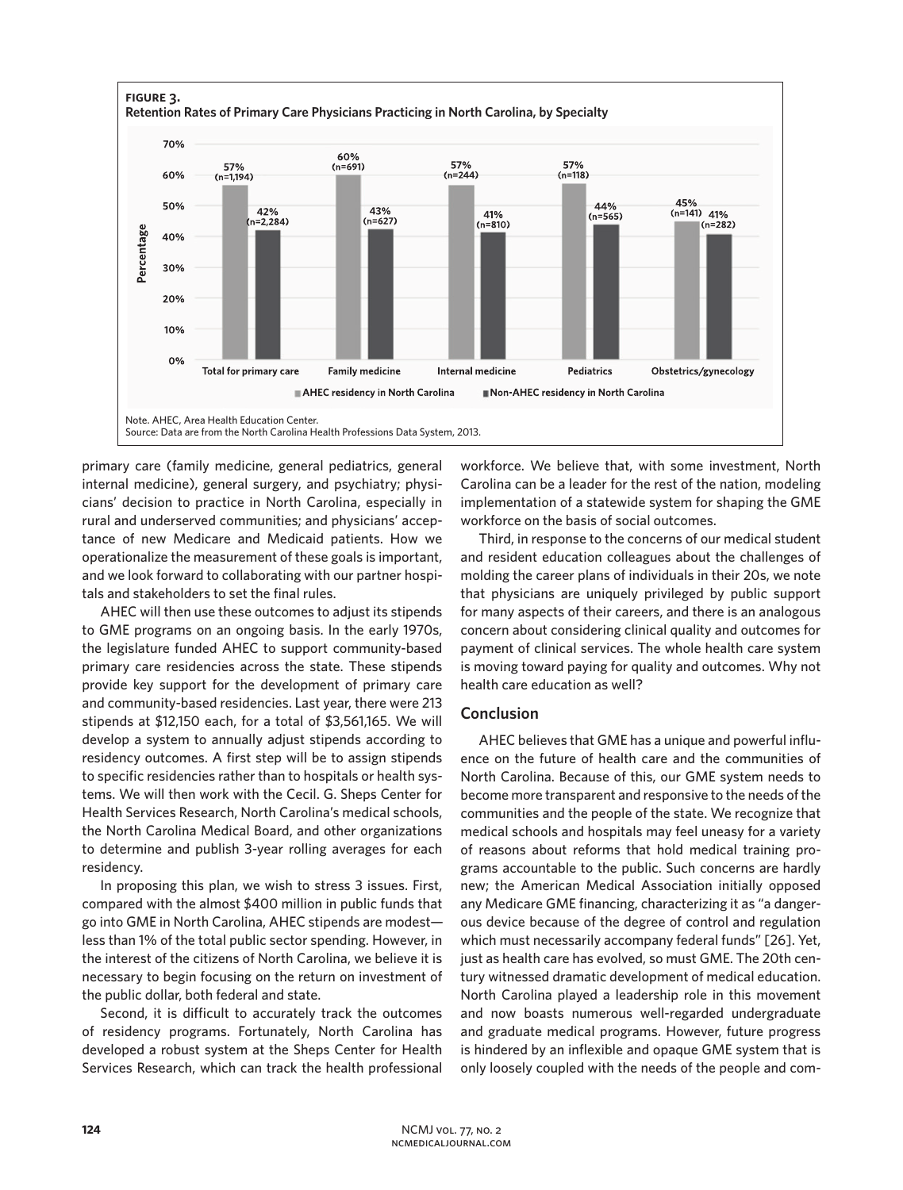

primary care (family medicine, general pediatrics, general internal medicine), general surgery, and psychiatry; physicians' decision to practice in North Carolina, especially in rural and underserved communities; and physicians' acceptance of new Medicare and Medicaid patients. How we operationalize the measurement of these goals is important, and we look forward to collaborating with our partner hospitals and stakeholders to set the final rules.

AHEC will then use these outcomes to adjust its stipends to GME programs on an ongoing basis. In the early 1970s, the legislature funded AHEC to support community-based primary care residencies across the state. These stipends provide key support for the development of primary care and community-based residencies. Last year, there were 213 stipends at \$12,150 each, for a total of \$3,561,165. We will develop a system to annually adjust stipends according to residency outcomes. A first step will be to assign stipends to specific residencies rather than to hospitals or health systems. We will then work with the Cecil. G. Sheps Center for Health Services Research, North Carolina's medical schools, the North Carolina Medical Board, and other organizations to determine and publish 3-year rolling averages for each residency.

In proposing this plan, we wish to stress 3 issues. First, compared with the almost \$400 million in public funds that go into GME in North Carolina, AHEC stipends are modest less than 1% of the total public sector spending. However, in the interest of the citizens of North Carolina, we believe it is necessary to begin focusing on the return on investment of the public dollar, both federal and state.

Second, it is difficult to accurately track the outcomes of residency programs. Fortunately, North Carolina has developed a robust system at the Sheps Center for Health Services Research, which can track the health professional

workforce. We believe that, with some investment, North Carolina can be a leader for the rest of the nation, modeling implementation of a statewide system for shaping the GME workforce on the basis of social outcomes.

Third, in response to the concerns of our medical student and resident education colleagues about the challenges of molding the career plans of individuals in their 20s, we note that physicians are uniquely privileged by public support for many aspects of their careers, and there is an analogous concern about considering clinical quality and outcomes for payment of clinical services. The whole health care system is moving toward paying for quality and outcomes. Why not health care education as well?

## **Conclusion**

AHEC believes that GME has a unique and powerful influence on the future of health care and the communities of North Carolina. Because of this, our GME system needs to become more transparent and responsive to the needs of the communities and the people of the state. We recognize that medical schools and hospitals may feel uneasy for a variety of reasons about reforms that hold medical training programs accountable to the public. Such concerns are hardly new; the American Medical Association initially opposed any Medicare GME financing, characterizing it as "a dangerous device because of the degree of control and regulation which must necessarily accompany federal funds" [26]. Yet, just as health care has evolved, so must GME. The 20th century witnessed dramatic development of medical education. North Carolina played a leadership role in this movement and now boasts numerous well-regarded undergraduate and graduate medical programs. However, future progress is hindered by an inflexible and opaque GME system that is only loosely coupled with the needs of the people and com-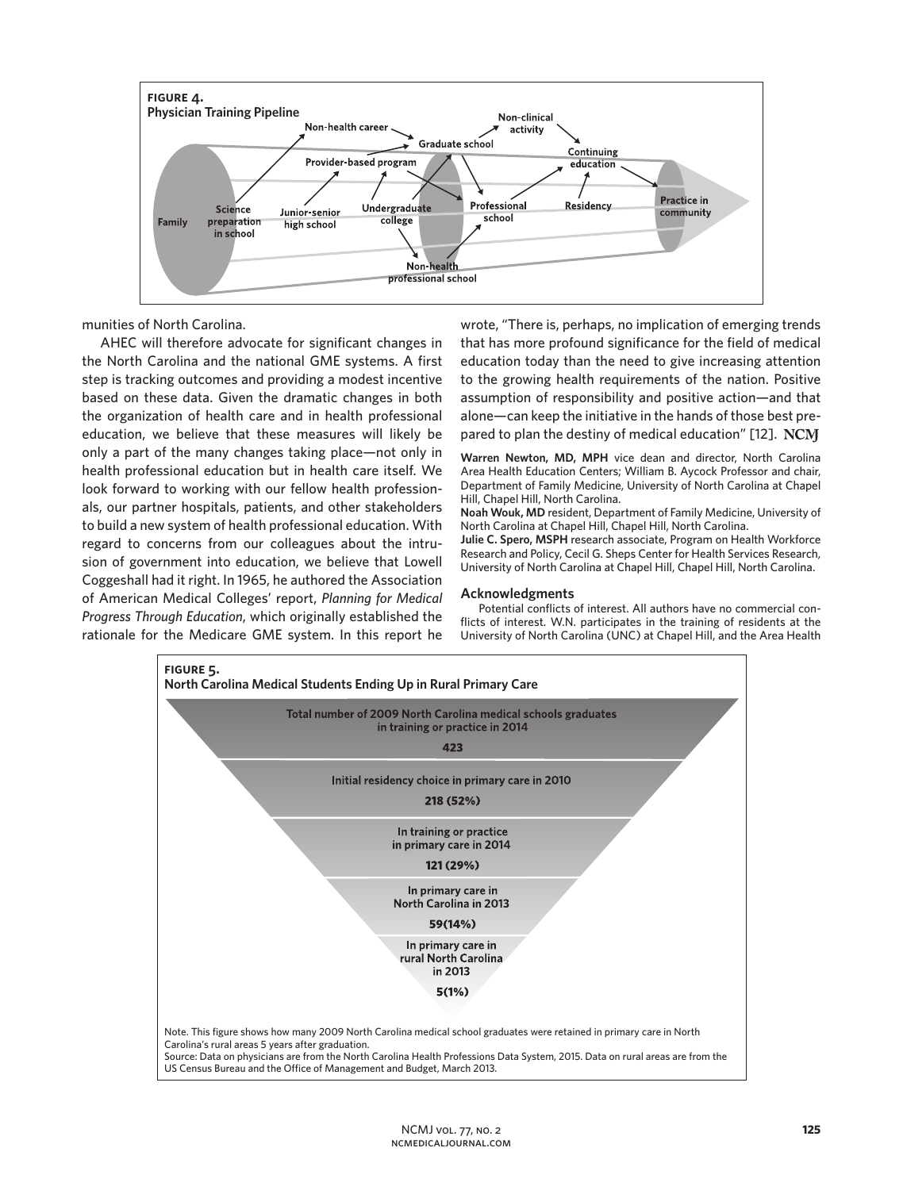

munities of North Carolina.

AHEC will therefore advocate for significant changes in the North Carolina and the national GME systems. A first step is tracking outcomes and providing a modest incentive based on these data. Given the dramatic changes in both the organization of health care and in health professional education, we believe that these measures will likely be only a part of the many changes taking place—not only in health professional education but in health care itself. We look forward to working with our fellow health professionals, our partner hospitals, patients, and other stakeholders to build a new system of health professional education. With regard to concerns from our colleagues about the intrusion of government into education, we believe that Lowell Coggeshall had it right. In 1965, he authored the Association of American Medical Colleges' report, *Planning for Medical Progress Through Education*, which originally established the rationale for the Medicare GME system. In this report he

wrote, "There is, perhaps, no implication of emerging trends that has more profound significance for the field of medical education today than the need to give increasing attention to the growing health requirements of the nation. Positive assumption of responsibility and positive action—and that alone—can keep the initiative in the hands of those best prepared to plan the destiny of medical education" [12]. NCM

**Warren Newton, MD, MPH** vice dean and director, North Carolina Area Health Education Centers; William B. Aycock Professor and chair, Department of Family Medicine, University of North Carolina at Chapel Hill, Chapel Hill, North Carolina.

**Noah Wouk, MD** resident, Department of Family Medicine, University of North Carolina at Chapel Hill, Chapel Hill, North Carolina.

**Julie C. Spero, MSPH** research associate, Program on Health Workforce Research and Policy, Cecil G. Sheps Center for Health Services Research, University of North Carolina at Chapel Hill, Chapel Hill, North Carolina.

#### **Acknowledgments**

Potential conflicts of interest. All authors have no commercial conflicts of interest. W.N. participates in the training of residents at the University of North Carolina (UNC) at Chapel Hill, and the Area Health

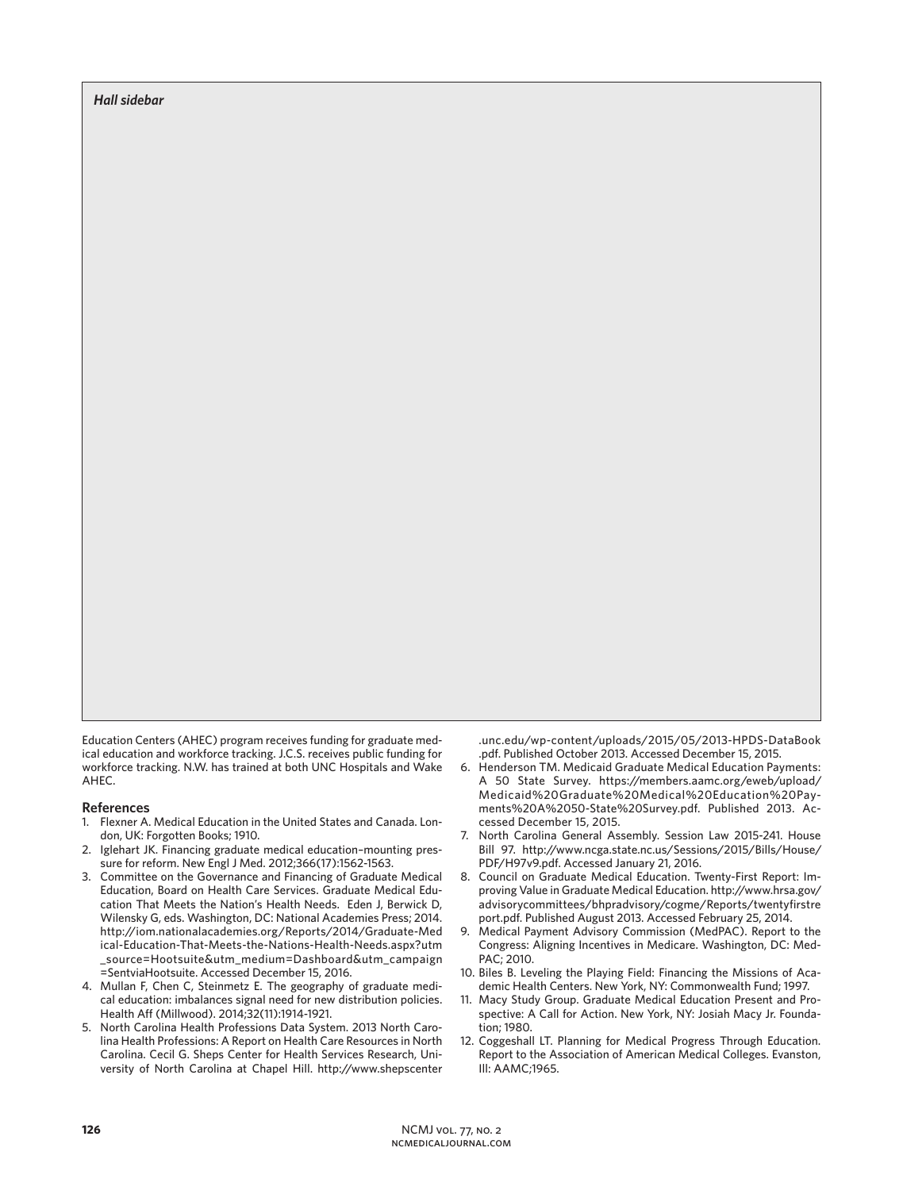*Hall sidebar*

Education Centers (AHEC) program receives funding for graduate medical education and workforce tracking. J.C.S. receives public funding for workforce tracking. N.W. has trained at both UNC Hospitals and Wake AHEC.

#### **References**

- 1. Flexner A. Medical Education in the United States and Canada. London, UK: Forgotten Books; 1910.
- 2. Iglehart JK. Financing graduate medical education–mounting pressure for reform. New Engl J Med. 2012;366(17):1562-1563.
- 3. Committee on the Governance and Financing of Graduate Medical Education, Board on Health Care Services. Graduate Medical Education That Meets the Nation's Health Needs. Eden J, Berwick D, Wilensky G, eds. Washington, DC: National Academies Press; 2014. http://iom.nationalacademies.org/Reports/2014/Graduate-Med ical-Education-That-Meets-the-Nations-Health-Needs.aspx?utm \_source=Hootsuite&utm\_medium=Dashboard&utm\_campaign =SentviaHootsuite. Accessed December 15, 2016.
- 4. Mullan F, Chen C, Steinmetz E. The geography of graduate medical education: imbalances signal need for new distribution policies. Health Aff (Millwood). 2014;32(11):1914-1921.
- 5. North Carolina Health Professions Data System. 2013 North Carolina Health Professions: A Report on Health Care Resources in North Carolina. Cecil G. Sheps Center for Health Services Research, University of North Carolina at Chapel Hill. http://www.shepscenter

.unc.edu/wp-content/uploads/2015/05/2013-HPDS-DataBook .pdf. Published October 2013. Accessed December 15, 2015.

- 6. Henderson TM. Medicaid Graduate Medical Education Payments: A 50 State Survey. https://members.aamc.org/eweb/upload/ Medicaid%20Graduate%20Medical%20Education%20Payments%20A%2050-State%20Survey.pdf. Published 2013. Accessed December 15, 2015.
- 7. North Carolina General Assembly. Session Law 2015-241. House Bill 97. http://www.ncga.state.nc.us/Sessions/2015/Bills/House/ PDF/H97v9.pdf. Accessed January 21, 2016.
- 8. Council on Graduate Medical Education. Twenty-First Report: Improving Value in Graduate Medical Education. http://www.hrsa.gov/ advisorycommittees/bhpradvisory/cogme/Reports/twentyfirstre port.pdf. Published August 2013. Accessed February 25, 2014.
- 9. Medical Payment Advisory Commission (MedPAC). Report to the Congress: Aligning Incentives in Medicare. Washington, DC: Med-PAC; 2010.
- 10. Biles B. Leveling the Playing Field: Financing the Missions of Academic Health Centers. New York, NY: Commonwealth Fund; 1997.
- 11. Macy Study Group. Graduate Medical Education Present and Prospective: A Call for Action. New York, NY: Josiah Macy Jr. Foundation; 1980.
- 12. Coggeshall LT. Planning for Medical Progress Through Education. Report to the Association of American Medical Colleges. Evanston, Ill: AAMC;1965.